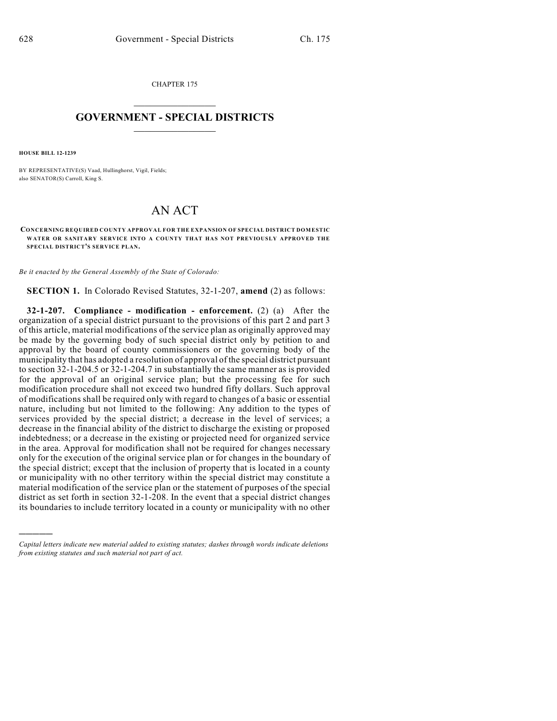CHAPTER 175  $\mathcal{L}_\text{max}$  . The set of the set of the set of the set of the set of the set of the set of the set of the set of the set of the set of the set of the set of the set of the set of the set of the set of the set of the set

## **GOVERNMENT - SPECIAL DISTRICTS**  $\_$   $\_$

**HOUSE BILL 12-1239**

)))))

BY REPRESENTATIVE(S) Vaad, Hullinghorst, Vigil, Fields; also SENATOR(S) Carroll, King S.

## AN ACT

**CONCERNING REQUIRED COUNTY APPROVAL FOR THE EXPANSION OF SPECIAL DISTRICT DOMESTIC WATER OR SANITARY SERVICE INTO A COUNTY THAT HAS NOT PREVIOUSLY APPROVED THE SPECIAL DISTRICT'S SERVICE PLAN.**

*Be it enacted by the General Assembly of the State of Colorado:*

**SECTION 1.** In Colorado Revised Statutes, 32-1-207, **amend** (2) as follows:

**32-1-207. Compliance - modification - enforcement.** (2) (a) After the organization of a special district pursuant to the provisions of this part 2 and part 3 of this article, material modifications of the service plan as originally approved may be made by the governing body of such special district only by petition to and approval by the board of county commissioners or the governing body of the municipality that has adopted a resolution of approval of the special district pursuant to section 32-1-204.5 or 32-1-204.7 in substantially the same manner as is provided for the approval of an original service plan; but the processing fee for such modification procedure shall not exceed two hundred fifty dollars. Such approval of modifications shall be required only with regard to changes of a basic or essential nature, including but not limited to the following: Any addition to the types of services provided by the special district; a decrease in the level of services; a decrease in the financial ability of the district to discharge the existing or proposed indebtedness; or a decrease in the existing or projected need for organized service in the area. Approval for modification shall not be required for changes necessary only for the execution of the original service plan or for changes in the boundary of the special district; except that the inclusion of property that is located in a county or municipality with no other territory within the special district may constitute a material modification of the service plan or the statement of purposes of the special district as set forth in section 32-1-208. In the event that a special district changes its boundaries to include territory located in a county or municipality with no other

*Capital letters indicate new material added to existing statutes; dashes through words indicate deletions from existing statutes and such material not part of act.*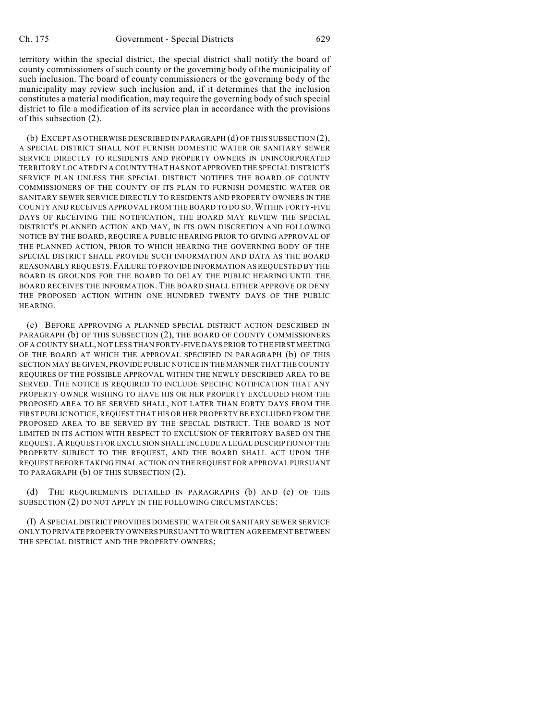territory within the special district, the special district shall notify the board of county commissioners of such county or the governing body of the municipality of such inclusion. The board of county commissioners or the governing body of the municipality may review such inclusion and, if it determines that the inclusion constitutes a material modification, may require the governing body of such special district to file a modification of its service plan in accordance with the provisions of this subsection (2).

(b) EXCEPT AS OTHERWISE DESCRIBED IN PARAGRAPH (d) OF THIS SUBSECTION (2), A SPECIAL DISTRICT SHALL NOT FURNISH DOMESTIC WATER OR SANITARY SEWER SERVICE DIRECTLY TO RESIDENTS AND PROPERTY OWNERS IN UNINCORPORATED TERRITORY LOCATED IN A COUNTY THAT HAS NOT APPROVED THE SPECIAL DISTRICT'S SERVICE PLAN UNLESS THE SPECIAL DISTRICT NOTIFIES THE BOARD OF COUNTY COMMISSIONERS OF THE COUNTY OF ITS PLAN TO FURNISH DOMESTIC WATER OR SANITARY SEWER SERVICE DIRECTLY TO RESIDENTS AND PROPERTY OWNERS IN THE COUNTY AND RECEIVES APPROVAL FROM THE BOARD TO DO SO. WITHIN FORTY-FIVE DAYS OF RECEIVING THE NOTIFICATION, THE BOARD MAY REVIEW THE SPECIAL DISTRICT'S PLANNED ACTION AND MAY, IN ITS OWN DISCRETION AND FOLLOWING NOTICE BY THE BOARD, REQUIRE A PUBLIC HEARING PRIOR TO GIVING APPROVAL OF THE PLANNED ACTION, PRIOR TO WHICH HEARING THE GOVERNING BODY OF THE SPECIAL DISTRICT SHALL PROVIDE SUCH INFORMATION AND DATA AS THE BOARD REASONABLY REQUESTS.FAILURE TO PROVIDE INFORMATION AS REQUESTED BY THE BOARD IS GROUNDS FOR THE BOARD TO DELAY THE PUBLIC HEARING UNTIL THE BOARD RECEIVES THE INFORMATION. THE BOARD SHALL EITHER APPROVE OR DENY THE PROPOSED ACTION WITHIN ONE HUNDRED TWENTY DAYS OF THE PUBLIC **HEARING** 

(c) BEFORE APPROVING A PLANNED SPECIAL DISTRICT ACTION DESCRIBED IN PARAGRAPH (b) OF THIS SUBSECTION (2), THE BOARD OF COUNTY COMMISSIONERS OF A COUNTY SHALL, NOT LESS THAN FORTY-FIVE DAYS PRIOR TO THE FIRST MEETING OF THE BOARD AT WHICH THE APPROVAL SPECIFIED IN PARAGRAPH (b) OF THIS SECTION MAY BE GIVEN, PROVIDE PUBLIC NOTICE IN THE MANNER THAT THE COUNTY REQUIRES OF THE POSSIBLE APPROVAL WITHIN THE NEWLY DESCRIBED AREA TO BE SERVED. THE NOTICE IS REQUIRED TO INCLUDE SPECIFIC NOTIFICATION THAT ANY PROPERTY OWNER WISHING TO HAVE HIS OR HER PROPERTY EXCLUDED FROM THE PROPOSED AREA TO BE SERVED SHALL, NOT LATER THAN FORTY DAYS FROM THE FIRST PUBLIC NOTICE, REQUEST THAT HIS OR HER PROPERTY BE EXCLUDED FROM THE PROPOSED AREA TO BE SERVED BY THE SPECIAL DISTRICT. THE BOARD IS NOT LIMITED IN ITS ACTION WITH RESPECT TO EXCLUSION OF TERRITORY BASED ON THE REQUEST. A REQUEST FOR EXCLUSION SHALL INCLUDE A LEGAL DESCRIPTION OF THE PROPERTY SUBJECT TO THE REQUEST, AND THE BOARD SHALL ACT UPON THE REQUEST BEFORE TAKING FINAL ACTION ON THE REQUEST FOR APPROVAL PURSUANT TO PARAGRAPH (b) OF THIS SUBSECTION (2).

THE REQUIREMENTS DETAILED IN PARAGRAPHS (b) AND (c) OF THIS SUBSECTION (2) DO NOT APPLY IN THE FOLLOWING CIRCUMSTANCES:

(I) A SPECIAL DISTRICT PROVIDES DOMESTIC WATER OR SANITARY SEWER SERVICE ONLY TO PRIVATE PROPERTY OWNERS PURSUANT TO WRITTEN AGREEMENT BETWEEN THE SPECIAL DISTRICT AND THE PROPERTY OWNERS;